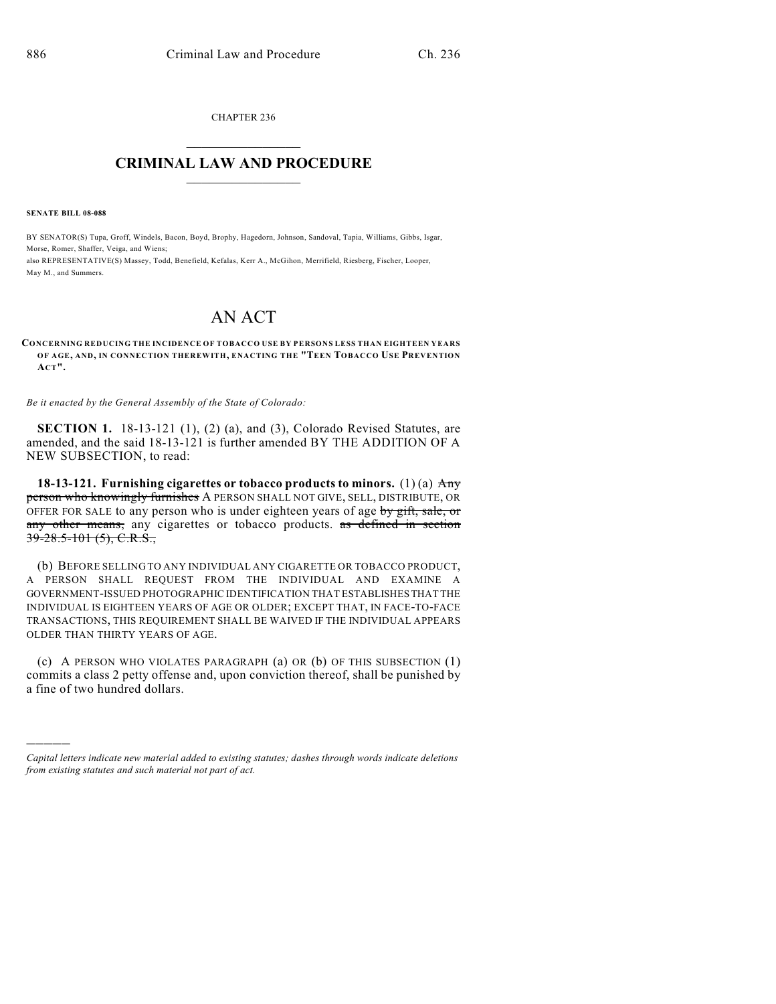CHAPTER 236  $\mathcal{L}_\text{max}$  . The set of the set of the set of the set of the set of the set of the set of the set of the set of the set of the set of the set of the set of the set of the set of the set of the set of the set of the set

## **CRIMINAL LAW AND PROCEDURE**  $\frac{1}{2}$  ,  $\frac{1}{2}$  ,  $\frac{1}{2}$  ,  $\frac{1}{2}$  ,  $\frac{1}{2}$  ,  $\frac{1}{2}$  ,  $\frac{1}{2}$

**SENATE BILL 08-088**

)))))

BY SENATOR(S) Tupa, Groff, Windels, Bacon, Boyd, Brophy, Hagedorn, Johnson, Sandoval, Tapia, Williams, Gibbs, Isgar, Morse, Romer, Shaffer, Veiga, and Wiens; also REPRESENTATIVE(S) Massey, Todd, Benefield, Kefalas, Kerr A., McGihon, Merrifield, Riesberg, Fischer, Looper, May M., and Summers.

## AN ACT

## **CONCERNING REDUCING THE INCIDENCE OF TOBACCO USE BY PERSONS LESS THAN EIGHTEEN YEARS OF AGE, AND, IN CONNECTION THEREWITH, ENACTING THE "TEEN TOBACCO USE PREVENTION ACT".**

*Be it enacted by the General Assembly of the State of Colorado:*

**SECTION 1.** 18-13-121 (1), (2) (a), and (3), Colorado Revised Statutes, are amended, and the said 18-13-121 is further amended BY THE ADDITION OF A NEW SUBSECTION, to read:

**18-13-121. Furnishing cigarettes or tobacco products to minors.** (1) (a) Any person who knowingly furnishes A PERSON SHALL NOT GIVE, SELL, DISTRIBUTE, OR OFFER FOR SALE to any person who is under eighteen years of age by gift, sale, or any other means, any cigarettes or tobacco products. as defined in section  $39 - 28.5 - 101$  (5), C.R.S.,

(b) BEFORE SELLING TO ANY INDIVIDUAL ANY CIGARETTE OR TOBACCO PRODUCT, A PERSON SHALL REQUEST FROM THE INDIVIDUAL AND EXAMINE A GOVERNMENT-ISSUED PHOTOGRAPHIC IDENTIFICATION THAT ESTABLISHES THAT THE INDIVIDUAL IS EIGHTEEN YEARS OF AGE OR OLDER; EXCEPT THAT, IN FACE-TO-FACE TRANSACTIONS, THIS REQUIREMENT SHALL BE WAIVED IF THE INDIVIDUAL APPEARS OLDER THAN THIRTY YEARS OF AGE.

(c) A PERSON WHO VIOLATES PARAGRAPH (a) OR (b) OF THIS SUBSECTION (1) commits a class 2 petty offense and, upon conviction thereof, shall be punished by a fine of two hundred dollars.

*Capital letters indicate new material added to existing statutes; dashes through words indicate deletions from existing statutes and such material not part of act.*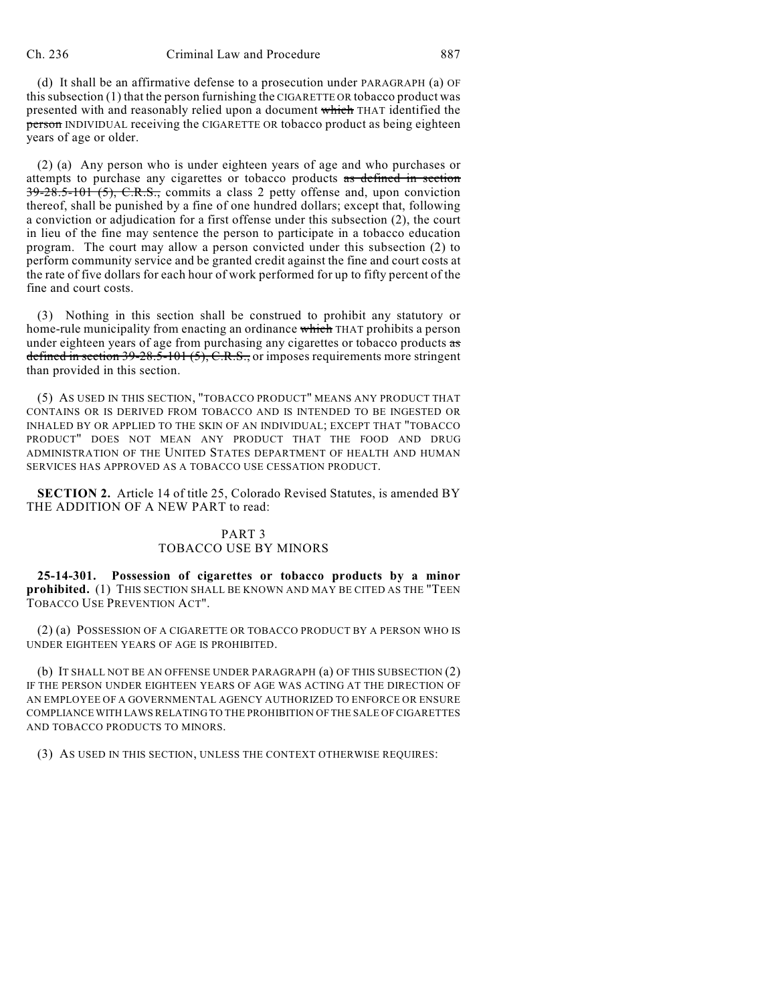(d) It shall be an affirmative defense to a prosecution under PARAGRAPH (a) OF this subsection (1) that the person furnishing the CIGARETTE OR tobacco product was presented with and reasonably relied upon a document which THAT identified the **person** INDIVIDUAL receiving the CIGARETTE OR tobacco product as being eighteen years of age or older.

(2) (a) Any person who is under eighteen years of age and who purchases or attempts to purchase any cigarettes or tobacco products as defined in section  $39-28.5-101(5)$ , C.R.S., commits a class 2 petty offense and, upon conviction thereof, shall be punished by a fine of one hundred dollars; except that, following a conviction or adjudication for a first offense under this subsection (2), the court in lieu of the fine may sentence the person to participate in a tobacco education program. The court may allow a person convicted under this subsection (2) to perform community service and be granted credit against the fine and court costs at the rate of five dollars for each hour of work performed for up to fifty percent of the fine and court costs.

(3) Nothing in this section shall be construed to prohibit any statutory or home-rule municipality from enacting an ordinance which THAT prohibits a person under eighteen years of age from purchasing any cigarettes or tobacco products as defined in section  $39-28.5-101(5)$ , C.R.S., or imposes requirements more stringent than provided in this section.

(5) AS USED IN THIS SECTION, "TOBACCO PRODUCT" MEANS ANY PRODUCT THAT CONTAINS OR IS DERIVED FROM TOBACCO AND IS INTENDED TO BE INGESTED OR INHALED BY OR APPLIED TO THE SKIN OF AN INDIVIDUAL; EXCEPT THAT "TOBACCO PRODUCT" DOES NOT MEAN ANY PRODUCT THAT THE FOOD AND DRUG ADMINISTRATION OF THE UNITED STATES DEPARTMENT OF HEALTH AND HUMAN SERVICES HAS APPROVED AS A TOBACCO USE CESSATION PRODUCT.

**SECTION 2.** Article 14 of title 25, Colorado Revised Statutes, is amended BY THE ADDITION OF A NEW PART to read:

## PART 3 TOBACCO USE BY MINORS

**25-14-301. Possession of cigarettes or tobacco products by a minor prohibited.** (1) THIS SECTION SHALL BE KNOWN AND MAY BE CITED AS THE "TEEN TOBACCO USE PREVENTION ACT".

(2) (a) POSSESSION OF A CIGARETTE OR TOBACCO PRODUCT BY A PERSON WHO IS UNDER EIGHTEEN YEARS OF AGE IS PROHIBITED.

(b) IT SHALL NOT BE AN OFFENSE UNDER PARAGRAPH (a) OF THIS SUBSECTION (2) IF THE PERSON UNDER EIGHTEEN YEARS OF AGE WAS ACTING AT THE DIRECTION OF AN EMPLOYEE OF A GOVERNMENTAL AGENCY AUTHORIZED TO ENFORCE OR ENSURE COMPLIANCE WITH LAWS RELATING TO THE PROHIBITION OF THE SALE OF CIGARETTES AND TOBACCO PRODUCTS TO MINORS.

(3) AS USED IN THIS SECTION, UNLESS THE CONTEXT OTHERWISE REQUIRES: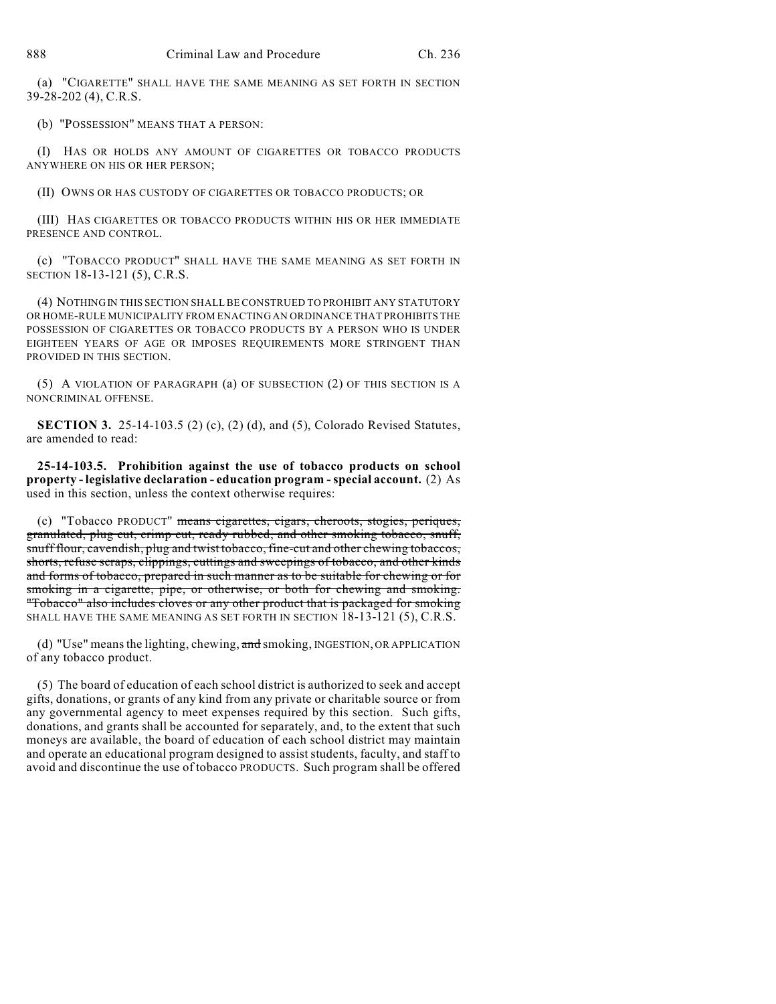(a) "CIGARETTE" SHALL HAVE THE SAME MEANING AS SET FORTH IN SECTION 39-28-202 (4), C.R.S.

(b) "POSSESSION" MEANS THAT A PERSON:

(I) HAS OR HOLDS ANY AMOUNT OF CIGARETTES OR TOBACCO PRODUCTS ANYWHERE ON HIS OR HER PERSON;

(II) OWNS OR HAS CUSTODY OF CIGARETTES OR TOBACCO PRODUCTS; OR

(III) HAS CIGARETTES OR TOBACCO PRODUCTS WITHIN HIS OR HER IMMEDIATE PRESENCE AND CONTROL.

(c) "TOBACCO PRODUCT" SHALL HAVE THE SAME MEANING AS SET FORTH IN SECTION 18-13-121 (5), C.R.S.

(4) NOTHING IN THIS SECTION SHALL BE CONSTRUED TO PROHIBIT ANY STATUTORY OR HOME-RULE MUNICIPALITY FROM ENACTING AN ORDINANCE THAT PROHIBITS THE POSSESSION OF CIGARETTES OR TOBACCO PRODUCTS BY A PERSON WHO IS UNDER EIGHTEEN YEARS OF AGE OR IMPOSES REQUIREMENTS MORE STRINGENT THAN PROVIDED IN THIS SECTION.

(5) A VIOLATION OF PARAGRAPH (a) OF SUBSECTION (2) OF THIS SECTION IS A NONCRIMINAL OFFENSE.

**SECTION 3.** 25-14-103.5 (2) (c), (2) (d), and (5), Colorado Revised Statutes, are amended to read:

**25-14-103.5. Prohibition against the use of tobacco products on school property - legislative declaration - education program - special account.** (2) As used in this section, unless the context otherwise requires:

(c) "Tobacco PRODUCT" means cigarettes, cigars, cheroots, stogies, periques, granulated, plug cut, crimp cut, ready rubbed, and other smoking tobacco, snuff, snuff flour, cavendish, plug and twist tobacco, fine-cut and other chewing tobaccos, shorts, refuse scraps, clippings, cuttings and sweepings of tobacco, and other kinds and forms of tobacco, prepared in such manner as to be suitable for chewing or for smoking in a cigarette, pipe, or otherwise, or both for chewing and smoking. "Tobacco" also includes cloves or any other product that is packaged for smoking SHALL HAVE THE SAME MEANING AS SET FORTH IN SECTION 18-13-121 (5), C.R.S.

(d) "Use" means the lighting, chewing,  $\overline{\text{and}}$  smoking, INGESTION, OR APPLICATION of any tobacco product.

(5) The board of education of each school district is authorized to seek and accept gifts, donations, or grants of any kind from any private or charitable source or from any governmental agency to meet expenses required by this section. Such gifts, donations, and grants shall be accounted for separately, and, to the extent that such moneys are available, the board of education of each school district may maintain and operate an educational program designed to assist students, faculty, and staff to avoid and discontinue the use of tobacco PRODUCTS. Such program shall be offered